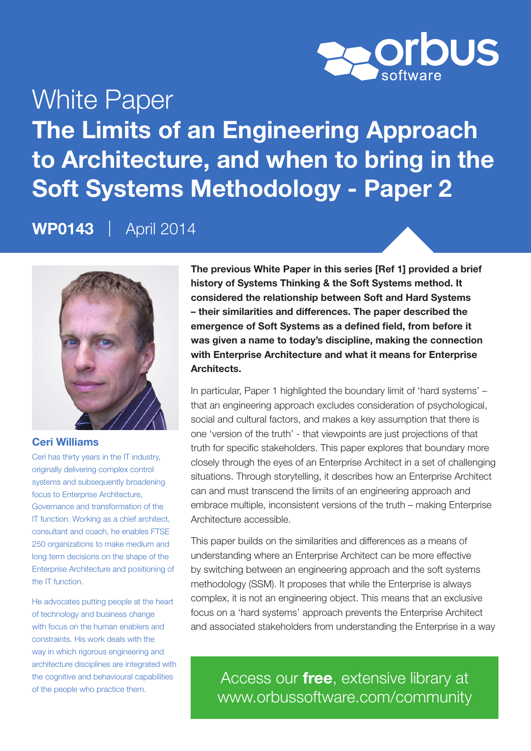

# White Paper The Limits of an Engineering Approach to Architecture, and when to bring in the Soft Systems Methodology - Paper 2

WP0143 | April 2014



#### Ceri Williams

Ceri has thirty years in the IT industry, originally delivering complex control systems and subsequently broadening focus to Enterprise Architecture. Governance and transformation of the IT function. Working as a chief architect, consultant and coach, he enables FTSE 250 organizations to make medium and long term decisions on the shape of the Enterprise Architecture and positioning of the IT function.

He advocates putting people at the heart of technology and business change with focus on the human enablers and constraints. His work deals with the way in which rigorous engineering and architecture disciplines are integrated with the cognitive and behavioural capabilities of the people who practice them.

The previous White Paper in this series [Ref 1] provided a brief history of Systems Thinking & the Soft Systems method. It considered the relationship between Soft and Hard Systems – their similarities and differences. The paper described the emergence of Soft Systems as a defined field, from before it was given a name to today's discipline, making the connection with Enterprise Architecture and what it means for Enterprise Architects.

In particular, Paper 1 highlighted the boundary limit of 'hard systems' – that an engineering approach excludes consideration of psychological, social and cultural factors, and makes a key assumption that there is one 'version of the truth' - that viewpoints are just projections of that truth for specific stakeholders. This paper explores that boundary more closely through the eyes of an Enterprise Architect in a set of challenging situations. Through storytelling, it describes how an Enterprise Architect can and must transcend the limits of an engineering approach and embrace multiple, inconsistent versions of the truth – making Enterprise Architecture accessible.

This paper builds on the similarities and differences as a means of understanding where an Enterprise Architect can be more effective by switching between an engineering approach and the soft systems methodology (SSM). It proposes that while the Enterprise is always complex, it is not an engineering object. This means that an exclusive focus on a 'hard systems' approach prevents the Enterprise Architect and associated stakeholders from understanding the Enterprise in a way

Access our free, extensive library at <www.orbussoftware.com/community>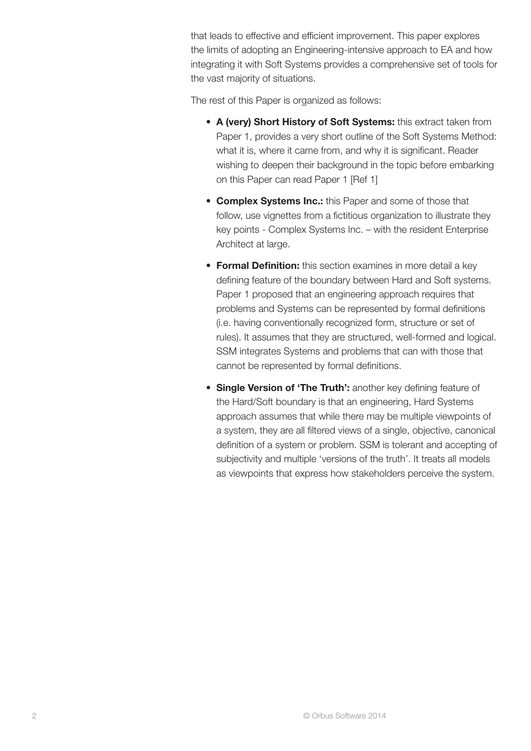that leads to effective and efficient improvement. This paper explores the limits of adopting an Engineering-intensive approach to EA and how integrating it with Soft Systems provides a comprehensive set of tools for the vast majority of situations.

The rest of this Paper is organized as follows:

- A (very) Short History of Soft Systems: this extract taken from Paper 1, provides a very short outline of the Soft Systems Method: what it is, where it came from, and why it is significant. Reader wishing to deepen their background in the topic before embarking on this Paper can read Paper 1 [\[Ref 1\]](#page-14-0)
- Complex Systems Inc.: this Paper and some of those that follow, use vignettes from a fictitious organization to illustrate they key points - Complex Systems Inc. – with the resident Enterprise Architect at large.
- Formal Definition: this section examines in more detail a key defining feature of the boundary between Hard and Soft systems. Paper 1 proposed that an engineering approach requires that problems and Systems can be represented by formal definitions (i.e. having conventionally recognized form, structure or set of rules). It assumes that they are structured, well-formed and logical. SSM integrates Systems and problems that can with those that cannot be represented by formal definitions.
- Single Version of 'The Truth': another key defining feature of the Hard/Soft boundary is that an engineering, Hard Systems approach assumes that while there may be multiple viewpoints of a system, they are all filtered views of a single, objective, canonical definition of a system or problem. SSM is tolerant and accepting of subjectivity and multiple 'versions of the truth'. It treats all models as viewpoints that express how stakeholders perceive the system.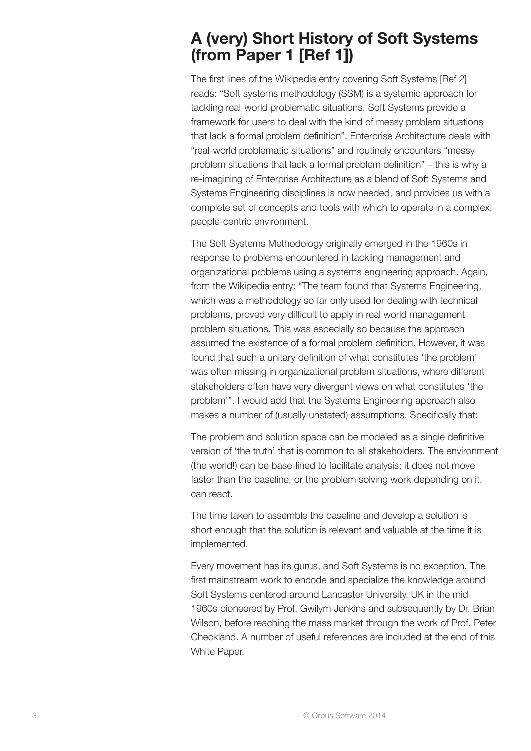### A (very) Short History of Soft Systems [\(from Paper 1 \[Ref 1\]\)](#page-14-0)

The first lines of the Wikipedia entry covering Soft Systems [\[Ref 2\]](#page-14-0)  reads: "Soft systems methodology (SSM) is a systemic approach for tackling real-world problematic situations. Soft Systems provide a framework for users to deal with the kind of messy problem situations that lack a formal problem definition". Enterprise Architecture deals with "real-world problematic situations" and routinely encounters "messy problem situations that lack a formal problem definition" – this is why a re-imagining of Enterprise Architecture as a blend of Soft Systems and Systems Engineering disciplines is now needed, and provides us with a complete set of concepts and tools with which to operate in a complex, people-centric environment.

The Soft Systems Methodology originally emerged in the 1960s in response to problems encountered in tackling management and organizational problems using a systems engineering approach. Again, from the Wikipedia entry: "The team found that Systems Engineering, which was a methodology so far only used for dealing with technical problems, proved very difficult to apply in real world management problem situations. This was especially so because the approach assumed the existence of a formal problem definition. However, it was found that such a unitary definition of what constitutes 'the problem' was often missing in organizational problem situations, where different stakeholders often have very divergent views on what constitutes 'the problem'". I would add that the Systems Engineering approach also makes a number of (usually unstated) assumptions. Specifically that:

The problem and solution space can be modeled as a single definitive version of 'the truth' that is common to all stakeholders. The environment (the world!) can be base-lined to facilitate analysis; it does not move faster than the baseline, or the problem solving work depending on it, can react.

The time taken to assemble the baseline and develop a solution is short enough that the solution is relevant and valuable at the time it is implemented.

Every movement has its gurus, and Soft Systems is no exception. The first mainstream work to encode and specialize the knowledge around Soft Systems centered around Lancaster University, UK in the mid-1960s pioneered by Prof. Gwilym Jenkins and subsequently by Dr. Brian Wilson, before reaching the mass market through the work of Prof. Peter Checkland. A number of useful references are included at the end of this White Paper.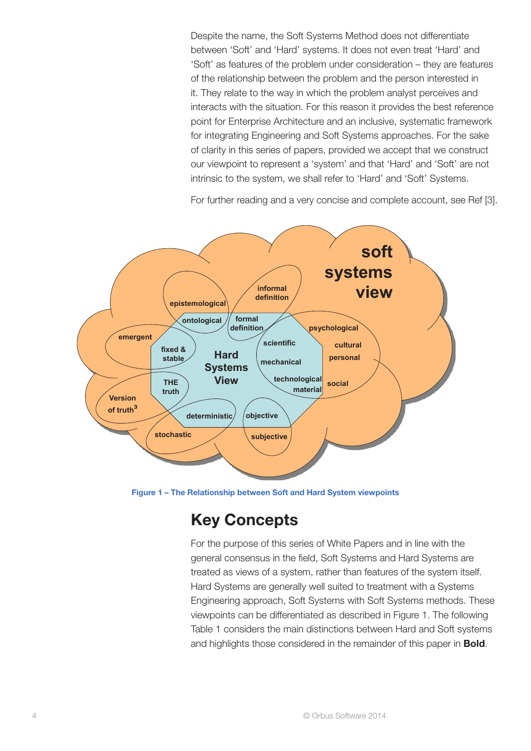Despite the name, the Soft Systems Method does not differentiate between 'Soft' and 'Hard' systems. It does not even treat 'Hard' and 'Soft' as features of the problem under consideration – they are features of the relationship between the problem and the person interested in it. They relate to the way in which the problem analyst perceives and interacts with the situation. For this reason it provides the best reference point for Enterprise Architecture and an inclusive, systematic framework for integrating Engineering and Soft Systems approaches. For the sake of clarity in this series of papers, provided we accept that we construct our viewpoint to represent a 'system' and that 'Hard' and 'Soft' are not intrinsic to the system, we shall refer to 'Hard' and 'Soft' Systems.

For further reading and a very concise and complete account, [see Ref \[3\]](#page-14-0).



Figure 1 – The Relationship between Soft and Hard System viewpoints

## Key Concepts

For the purpose of this series of White Papers and in line with the general consensus in the field, Soft Systems and Hard Systems are treated as views of a system, rather than features of the system itself. Hard Systems are generally well suited to treatment with a Systems Engineering approach, Soft Systems with Soft Systems methods. These viewpoints can be differentiated as described in Figure 1. The following Table 1 considers the main distinctions between Hard and Soft systems and highlights those considered in the remainder of this paper in **Bold**.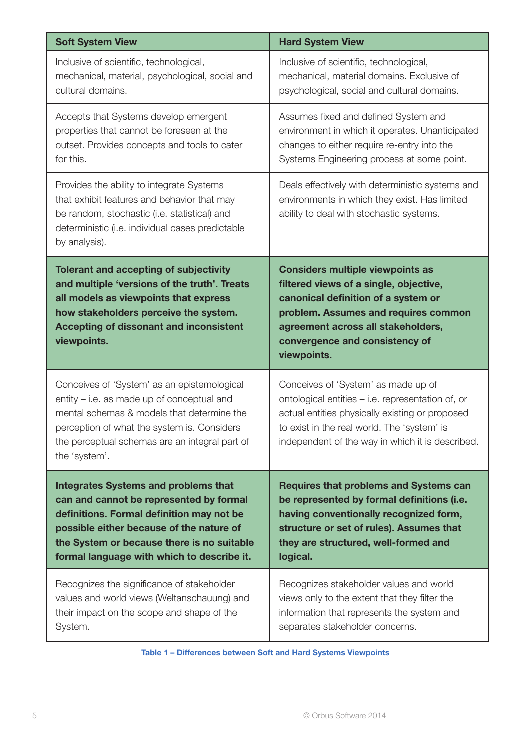| <b>Soft System View</b>                                                                                                                                                                                                                                   | <b>Hard System View</b>                                                                                                                                                                                                                                 |
|-----------------------------------------------------------------------------------------------------------------------------------------------------------------------------------------------------------------------------------------------------------|---------------------------------------------------------------------------------------------------------------------------------------------------------------------------------------------------------------------------------------------------------|
| Inclusive of scientific, technological,                                                                                                                                                                                                                   | Inclusive of scientific, technological,                                                                                                                                                                                                                 |
| mechanical, material, psychological, social and                                                                                                                                                                                                           | mechanical, material domains. Exclusive of                                                                                                                                                                                                              |
| cultural domains.                                                                                                                                                                                                                                         | psychological, social and cultural domains.                                                                                                                                                                                                             |
| Accepts that Systems develop emergent                                                                                                                                                                                                                     | Assumes fixed and defined System and                                                                                                                                                                                                                    |
| properties that cannot be foreseen at the                                                                                                                                                                                                                 | environment in which it operates. Unanticipated                                                                                                                                                                                                         |
| outset. Provides concepts and tools to cater                                                                                                                                                                                                              | changes to either require re-entry into the                                                                                                                                                                                                             |
| for this.                                                                                                                                                                                                                                                 | Systems Engineering process at some point.                                                                                                                                                                                                              |
| Provides the ability to integrate Systems<br>that exhibit features and behavior that may<br>be random, stochastic (i.e. statistical) and<br>deterministic (i.e. individual cases predictable<br>by analysis).                                             | Deals effectively with deterministic systems and<br>environments in which they exist. Has limited<br>ability to deal with stochastic systems.                                                                                                           |
| <b>Tolerant and accepting of subjectivity</b><br>and multiple 'versions of the truth'. Treats<br>all models as viewpoints that express<br>how stakeholders perceive the system.<br><b>Accepting of dissonant and inconsistent</b><br>viewpoints.          | <b>Considers multiple viewpoints as</b><br>filtered views of a single, objective,<br>canonical definition of a system or<br>problem. Assumes and requires common<br>agreement across all stakeholders,<br>convergence and consistency of<br>viewpoints. |
| Conceives of 'System' as an epistemological<br>entity - i.e. as made up of conceptual and<br>mental schemas & models that determine the<br>perception of what the system is. Considers<br>the perceptual schemas are an integral part of<br>the 'system'. | Conceives of 'System' as made up of<br>ontological entities - i.e. representation of, or<br>actual entities physically existing or proposed<br>to exist in the real world. The 'system' is<br>independent of the way in which it is described.          |
| <b>Integrates Systems and problems that</b>                                                                                                                                                                                                               | <b>Requires that problems and Systems can</b>                                                                                                                                                                                                           |
| can and cannot be represented by formal                                                                                                                                                                                                                   | be represented by formal definitions (i.e.                                                                                                                                                                                                              |
| definitions. Formal definition may not be                                                                                                                                                                                                                 | having conventionally recognized form,                                                                                                                                                                                                                  |
| possible either because of the nature of                                                                                                                                                                                                                  | structure or set of rules). Assumes that                                                                                                                                                                                                                |
| the System or because there is no suitable                                                                                                                                                                                                                | they are structured, well-formed and                                                                                                                                                                                                                    |
| formal language with which to describe it.                                                                                                                                                                                                                | logical.                                                                                                                                                                                                                                                |
| Recognizes the significance of stakeholder                                                                                                                                                                                                                | Recognizes stakeholder values and world                                                                                                                                                                                                                 |
| values and world views (Weltanschauung) and                                                                                                                                                                                                               | views only to the extent that they filter the                                                                                                                                                                                                           |
| their impact on the scope and shape of the                                                                                                                                                                                                                | information that represents the system and                                                                                                                                                                                                              |
| System.                                                                                                                                                                                                                                                   | separates stakeholder concerns.                                                                                                                                                                                                                         |

Table 1 – Differences between Soft and Hard Systems Viewpoints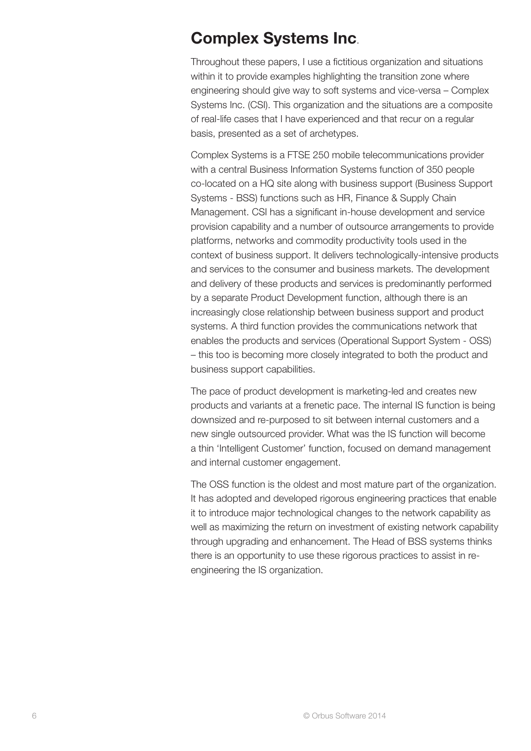#### Complex Systems Inc.

Throughout these papers, I use a fictitious organization and situations within it to provide examples highlighting the transition zone where engineering should give way to soft systems and vice-versa – Complex Systems Inc. (CSI). This organization and the situations are a composite of real-life cases that I have experienced and that recur on a regular basis, presented as a set of archetypes.

Complex Systems is a FTSE 250 mobile telecommunications provider with a central Business Information Systems function of 350 people co-located on a HQ site along with business support (Business Support Systems - BSS) functions such as HR, Finance & Supply Chain Management. CSI has a significant in-house development and service provision capability and a number of outsource arrangements to provide platforms, networks and commodity productivity tools used in the context of business support. It delivers technologically-intensive products and services to the consumer and business markets. The development and delivery of these products and services is predominantly performed by a separate Product Development function, although there is an increasingly close relationship between business support and product systems. A third function provides the communications network that enables the products and services (Operational Support System - OSS) – this too is becoming more closely integrated to both the product and business support capabilities.

The pace of product development is marketing-led and creates new products and variants at a frenetic pace. The internal IS function is being downsized and re-purposed to sit between internal customers and a new single outsourced provider. What was the IS function will become a thin 'Intelligent Customer' function, focused on demand management and internal customer engagement.

The OSS function is the oldest and most mature part of the organization. It has adopted and developed rigorous engineering practices that enable it to introduce major technological changes to the network capability as well as maximizing the return on investment of existing network capability through upgrading and enhancement. The Head of BSS systems thinks there is an opportunity to use these rigorous practices to assist in reengineering the IS organization.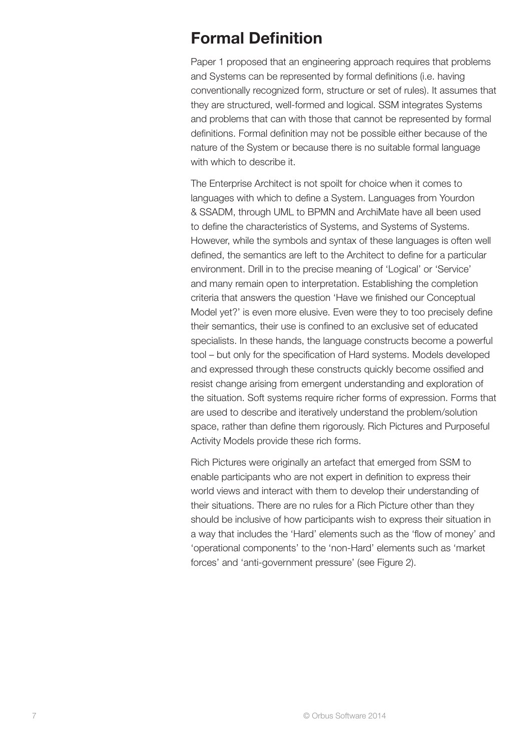### Formal Definition

Paper 1 proposed that an engineering approach requires that problems and Systems can be represented by formal definitions (i.e. having conventionally recognized form, structure or set of rules). It assumes that they are structured, well-formed and logical. SSM integrates Systems and problems that can with those that cannot be represented by formal definitions. Formal definition may not be possible either because of the nature of the System or because there is no suitable formal language with which to describe it.

The Enterprise Architect is not spoilt for choice when it comes to languages with which to define a System. Languages from Yourdon & SSADM, through UML to BPMN and ArchiMate have all been used to define the characteristics of Systems, and Systems of Systems. However, while the symbols and syntax of these languages is often well defined, the semantics are left to the Architect to define for a particular environment. Drill in to the precise meaning of 'Logical' or 'Service' and many remain open to interpretation. Establishing the completion criteria that answers the question 'Have we finished our Conceptual Model yet?' is even more elusive. Even were they to too precisely define their semantics, their use is confined to an exclusive set of educated specialists. In these hands, the language constructs become a powerful tool – but only for the specification of Hard systems. Models developed and expressed through these constructs quickly become ossified and resist change arising from emergent understanding and exploration of the situation. Soft systems require richer forms of expression. Forms that are used to describe and iteratively understand the problem/solution space, rather than define them rigorously. Rich Pictures and Purposeful Activity Models provide these rich forms.

Rich Pictures were originally an artefact that emerged from SSM to enable participants who are not expert in definition to express their world views and interact with them to develop their understanding of their situations. There are no rules for a Rich Picture other than they should be inclusive of how participants wish to express their situation in a way that includes the 'Hard' elements such as the 'flow of money' and 'operational components' to the 'non-Hard' elements such as 'market forces' and 'anti-government pressure' (see Figure 2).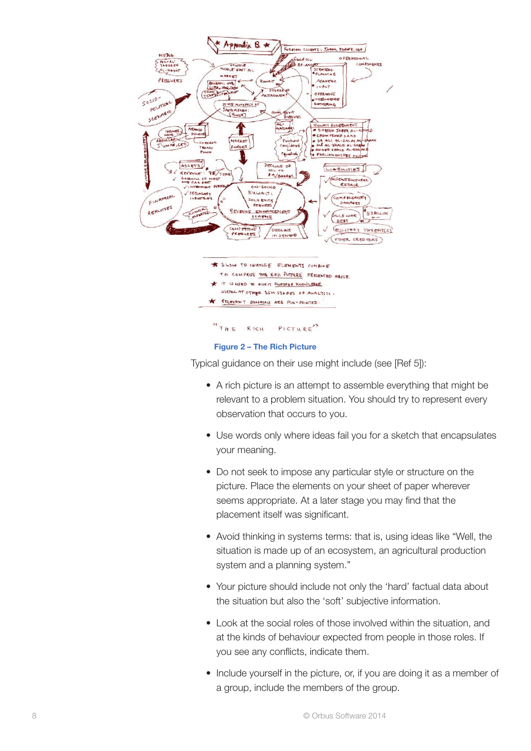

Typical guidance on their use might include [\(see \[Ref 5\]\):](#page-14-0)

- A rich picture is an attempt to assemble everything that might be relevant to a problem situation. You should try to represent every observation that occurs to you.
- Use words only where ideas fail you for a sketch that encapsulates your meaning.
- Do not seek to impose any particular style or structure on the picture. Place the elements on your sheet of paper wherever seems appropriate. At a later stage you may find that the placement itself was significant.
- Avoid thinking in systems terms: that is, using ideas like "Well, the situation is made up of an ecosystem, an agricultural production system and a planning system."
- Your picture should include not only the 'hard' factual data about the situation but also the 'soft' subjective information.
- Look at the social roles of those involved within the situation, and at the kinds of behaviour expected from people in those roles. If you see any conflicts, indicate them.
- Include yourself in the picture, or, if you are doing it as a member of a group, include the members of the group.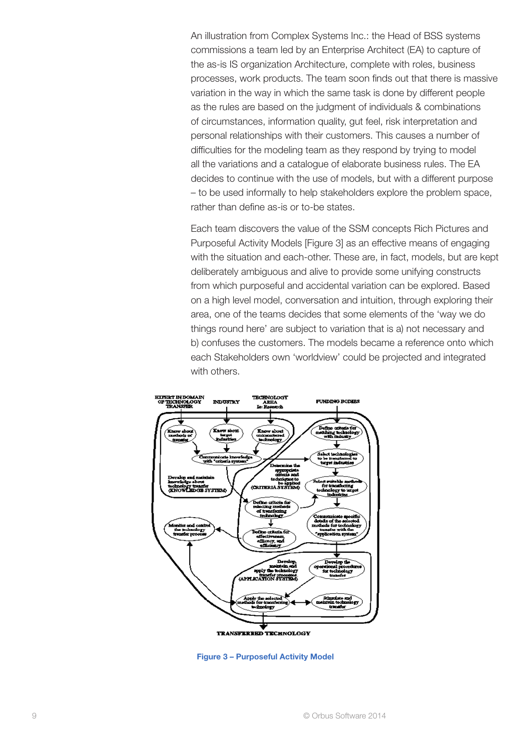An illustration from Complex Systems Inc.: the Head of BSS systems commissions a team led by an Enterprise Architect (EA) to capture of the as-is IS organization Architecture, complete with roles, business processes, work products. The team soon finds out that there is massive variation in the way in which the same task is done by different people as the rules are based on the judgment of individuals & combinations of circumstances, information quality, gut feel, risk interpretation and personal relationships with their customers. This causes a number of difficulties for the modeling team as they respond by trying to model all the variations and a catalogue of elaborate business rules. The EA decides to continue with the use of models, but with a different purpose – to be used informally to help stakeholders explore the problem space, rather than define as-is or to-be states.

Each team discovers the value of the SSM concepts Rich Pictures and Purposeful Activity Models [Figure 3] as an effective means of engaging with the situation and each-other. These are, in fact, models, but are kept deliberately ambiguous and alive to provide some unifying constructs from which purposeful and accidental variation can be explored. Based on a high level model, conversation and intuition, through exploring their area, one of the teams decides that some elements of the 'way we do things round here' are subject to variation that is a) not necessary and b) confuses the customers. The models became a reference onto which each Stakeholders own 'worldview' could be projected and integrated with others.



Figure 3 – Purposeful Activity Model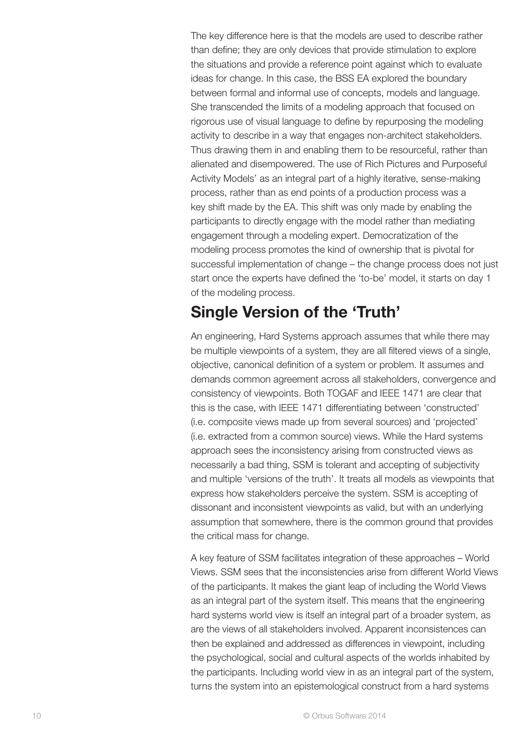The key difference here is that the models are used to describe rather than define; they are only devices that provide stimulation to explore the situations and provide a reference point against which to evaluate ideas for change. In this case, the BSS EA explored the boundary between formal and informal use of concepts, models and language. She transcended the limits of a modeling approach that focused on rigorous use of visual language to define by repurposing the modeling activity to describe in a way that engages non-architect stakeholders. Thus drawing them in and enabling them to be resourceful, rather than alienated and disempowered. The use of Rich Pictures and Purposeful Activity Models' as an integral part of a highly iterative, sense-making process, rather than as end points of a production process was a key shift made by the EA. This shift was only made by enabling the participants to directly engage with the model rather than mediating engagement through a modeling expert. Democratization of the modeling process promotes the kind of ownership that is pivotal for successful implementation of change – the change process does not just start once the experts have defined the 'to-be' model, it starts on day 1 of the modeling process.

### Single Version of the 'Truth'

An engineering, Hard Systems approach assumes that while there may be multiple viewpoints of a system, they are all filtered views of a single, objective, canonical definition of a system or problem. It assumes and demands common agreement across all stakeholders, convergence and consistency of viewpoints. Both TOGAF and IEEE 1471 are clear that this is the case, with IEEE 1471 differentiating between 'constructed' (i.e. composite views made up from several sources) and 'projected' (i.e. extracted from a common source) views. While the Hard systems approach sees the inconsistency arising from constructed views as necessarily a bad thing, SSM is tolerant and accepting of subjectivity and multiple 'versions of the truth'. It treats all models as viewpoints that express how stakeholders perceive the system. SSM is accepting of dissonant and inconsistent viewpoints as valid, but with an underlying assumption that somewhere, there is the common ground that provides the critical mass for change.

A key feature of SSM facilitates integration of these approaches – World Views. SSM sees that the inconsistencies arise from different World Views of the participants. It makes the giant leap of including the World Views as an integral part of the system itself. This means that the engineering hard systems world view is itself an integral part of a broader system, as are the views of all stakeholders involved. Apparent inconsistences can then be explained and addressed as differences in viewpoint, including the psychological, social and cultural aspects of the worlds inhabited by the participants. Including world view in as an integral part of the system, turns the system into an epistemological construct from a hard systems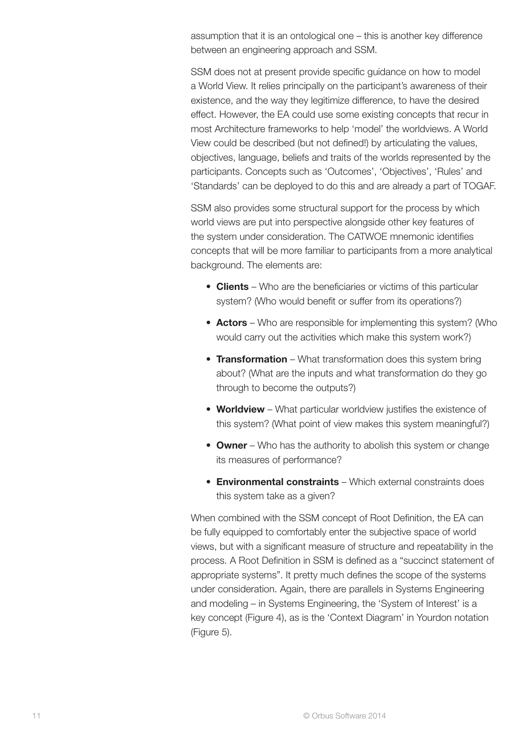assumption that it is an ontological one – this is another key difference between an engineering approach and SSM.

SSM does not at present provide specific guidance on how to model a World View. It relies principally on the participant's awareness of their existence, and the way they legitimize difference, to have the desired effect. However, the EA could use some existing concepts that recur in most Architecture frameworks to help 'model' the worldviews. A World View could be described (but not defined!) by articulating the values, objectives, language, beliefs and traits of the worlds represented by the participants. Concepts such as 'Outcomes', 'Objectives', 'Rules' and 'Standards' can be deployed to do this and are already a part of TOGAF.

SSM also provides some structural support for the process by which world views are put into perspective alongside other key features of the system under consideration. The CATWOE mnemonic identifies concepts that will be more familiar to participants from a more analytical background. The elements are:

- Clients Who are the beneficiaries or victims of this particular system? (Who would benefit or suffer from its operations?)
- Actors Who are responsible for implementing this system? (Who would carry out the activities which make this system work?)
- **Transformation** What transformation does this system bring about? (What are the inputs and what transformation do they go through to become the outputs?)
- Worldview What particular worldview justifies the existence of this system? (What point of view makes this system meaningful?)
- Owner Who has the authority to abolish this system or change its measures of performance?
- Environmental constraints Which external constraints does this system take as a given?

When combined with the SSM concept of Root Definition, the EA can be fully equipped to comfortably enter the subjective space of world views, but with a significant measure of structure and repeatability in the process. A Root Definition in SSM is defined as a "succinct statement of appropriate systems". It pretty much defines the scope of the systems under consideration. Again, there are parallels in Systems Engineering and modeling – in Systems Engineering, the 'System of Interest' is a key concept (Figure 4), as is the 'Context Diagram' in Yourdon notation (Figure 5).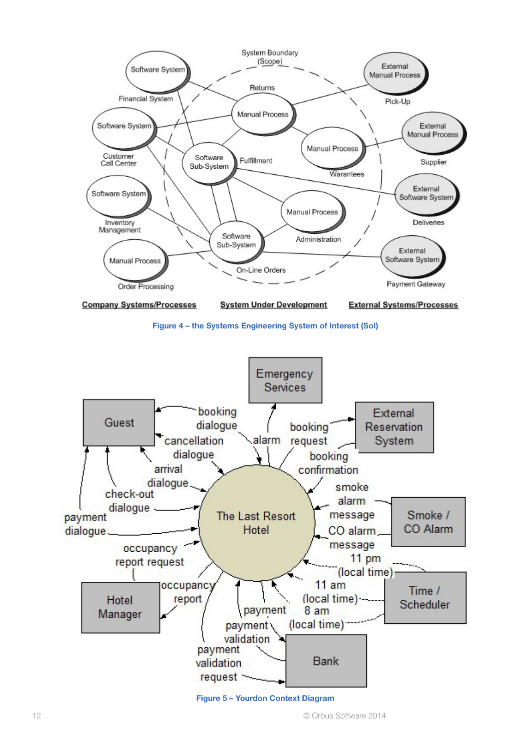

Figure 4 – the Systems Engineering System of Interest (SoI)



Figure 5 – Yourdon Context Diagram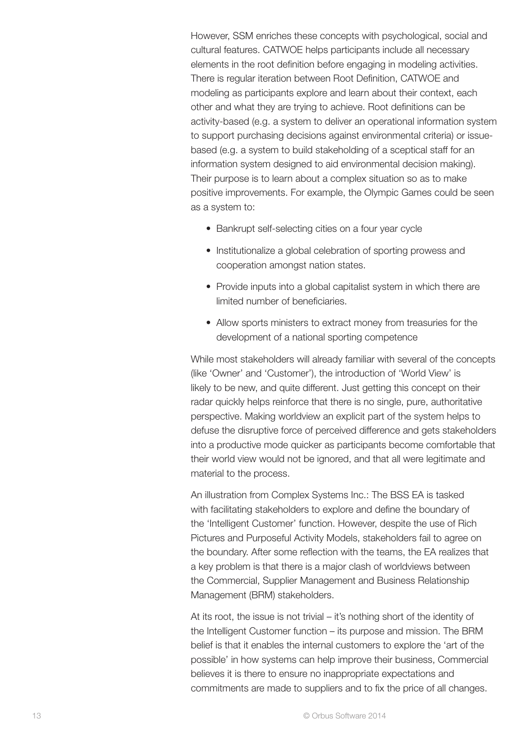However, SSM enriches these concepts with psychological, social and cultural features. CATWOE helps participants include all necessary elements in the root definition before engaging in modeling activities. There is regular iteration between Root Definition, CATWOE and modeling as participants explore and learn about their context, each other and what they are trying to achieve. Root definitions can be activity-based (e.g. a system to deliver an operational information system to support purchasing decisions against environmental criteria) or issuebased (e.g. a system to build stakeholding of a sceptical staff for an information system designed to aid environmental decision making). Their purpose is to learn about a complex situation so as to make positive improvements. For example, the Olympic Games could be seen as a system to:

- Bankrupt self-selecting cities on a four year cycle
- Institutionalize a global celebration of sporting prowess and cooperation amongst nation states.
- Provide inputs into a global capitalist system in which there are limited number of beneficiaries.
- Allow sports ministers to extract money from treasuries for the development of a national sporting competence

While most stakeholders will already familiar with several of the concepts (like 'Owner' and 'Customer'), the introduction of 'World View' is likely to be new, and quite different. Just getting this concept on their radar quickly helps reinforce that there is no single, pure, authoritative perspective. Making worldview an explicit part of the system helps to defuse the disruptive force of perceived difference and gets stakeholders into a productive mode quicker as participants become comfortable that their world view would not be ignored, and that all were legitimate and material to the process.

An illustration from Complex Systems Inc.: The BSS EA is tasked with facilitating stakeholders to explore and define the boundary of the 'Intelligent Customer' function. However, despite the use of Rich Pictures and Purposeful Activity Models, stakeholders fail to agree on the boundary. After some reflection with the teams, the EA realizes that a key problem is that there is a major clash of worldviews between the Commercial, Supplier Management and Business Relationship Management (BRM) stakeholders.

At its root, the issue is not trivial – it's nothing short of the identity of the Intelligent Customer function – its purpose and mission. The BRM belief is that it enables the internal customers to explore the 'art of the possible' in how systems can help improve their business, Commercial believes it is there to ensure no inappropriate expectations and commitments are made to suppliers and to fix the price of all changes.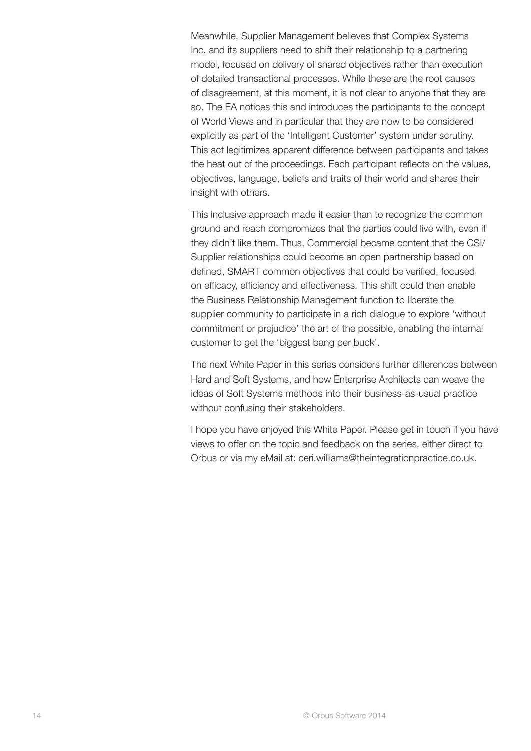Meanwhile, Supplier Management believes that Complex Systems Inc. and its suppliers need to shift their relationship to a partnering model, focused on delivery of shared objectives rather than execution of detailed transactional processes. While these are the root causes of disagreement, at this moment, it is not clear to anyone that they are so. The EA notices this and introduces the participants to the concept of World Views and in particular that they are now to be considered explicitly as part of the 'Intelligent Customer' system under scrutiny. This act legitimizes apparent difference between participants and takes the heat out of the proceedings. Each participant reflects on the values, objectives, language, beliefs and traits of their world and shares their insight with others.

This inclusive approach made it easier than to recognize the common ground and reach compromizes that the parties could live with, even if they didn't like them. Thus, Commercial became content that the CSI/ Supplier relationships could become an open partnership based on defined, SMART common objectives that could be verified, focused on efficacy, efficiency and effectiveness. This shift could then enable the Business Relationship Management function to liberate the supplier community to participate in a rich dialogue to explore 'without commitment or prejudice' the art of the possible, enabling the internal customer to get the 'biggest bang per buck'.

The next White Paper in this series considers further differences between Hard and Soft Systems, and how Enterprise Architects can weave the ideas of Soft Systems methods into their business-as-usual practice without confusing their stakeholders.

I hope you have enjoyed this White Paper. Please get in touch if you have views to offer on the topic and feedback on the series, either direct to Orbus or via my eMail at: [ceri.williams@theintegrationpractice.co.uk.](mailto:ceri.williams@theintegrationpractice.co.uk.)